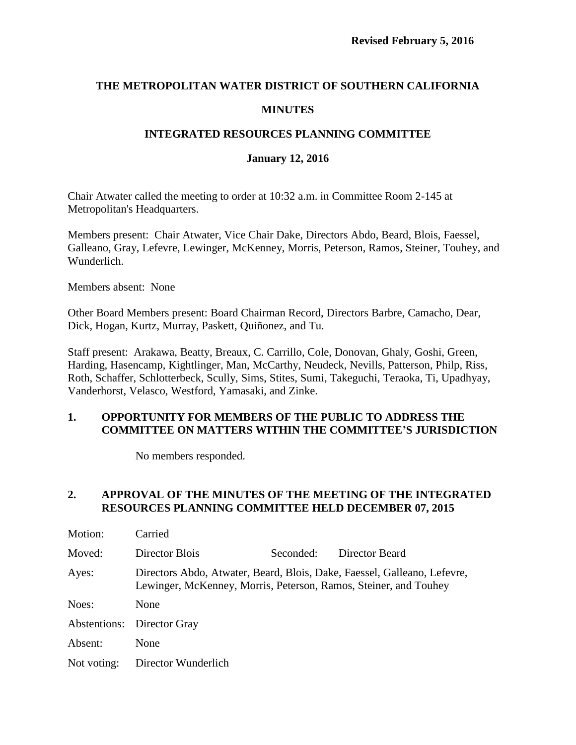# **THE METROPOLITAN WATER DISTRICT OF SOUTHERN CALIFORNIA MINUTES**

## **INTEGRATED RESOURCES PLANNING COMMITTEE**

#### **January 12, 2016**

Chair Atwater called the meeting to order at 10:32 a.m. in Committee Room 2-145 at Metropolitan's Headquarters.

Members present: Chair Atwater, Vice Chair Dake, Directors Abdo, Beard, Blois, Faessel, Galleano, Gray, Lefevre, Lewinger, McKenney, Morris, Peterson, Ramos, Steiner, Touhey, and Wunderlich.

Members absent: None

Other Board Members present: Board Chairman Record, Directors Barbre, Camacho, Dear, Dick, Hogan, Kurtz, Murray, Paskett, Quiñonez, and Tu.

Staff present: Arakawa, Beatty, Breaux, C. Carrillo, Cole, Donovan, Ghaly, Goshi, Green, Harding, Hasencamp, Kightlinger, Man, McCarthy, Neudeck, Nevills, Patterson, Philp, Riss, Roth, Schaffer, Schlotterbeck, Scully, Sims, Stites, Sumi, Takeguchi, Teraoka, Ti, Upadhyay, Vanderhorst, Velasco, Westford, Yamasaki, and Zinke.

### **1. OPPORTUNITY FOR MEMBERS OF THE PUBLIC TO ADDRESS THE COMMITTEE ON MATTERS WITHIN THE COMMITTEE'S JURISDICTION**

No members responded.

#### **2. APPROVAL OF THE MINUTES OF THE MEETING OF THE INTEGRATED RESOURCES PLANNING COMMITTEE HELD DECEMBER 07, 2015**

| Motion:     | Carried                                                                                                                                      |           |                |  |  |
|-------------|----------------------------------------------------------------------------------------------------------------------------------------------|-----------|----------------|--|--|
| Moved:      | Director Blois                                                                                                                               | Seconded: | Director Beard |  |  |
| Ayes:       | Directors Abdo, Atwater, Beard, Blois, Dake, Faessel, Galleano, Lefevre,<br>Lewinger, McKenney, Morris, Peterson, Ramos, Steiner, and Touhey |           |                |  |  |
| Noes:       | None                                                                                                                                         |           |                |  |  |
|             | Abstentions: Director Gray                                                                                                                   |           |                |  |  |
| Absent:     | None                                                                                                                                         |           |                |  |  |
| Not voting: | Director Wunderlich                                                                                                                          |           |                |  |  |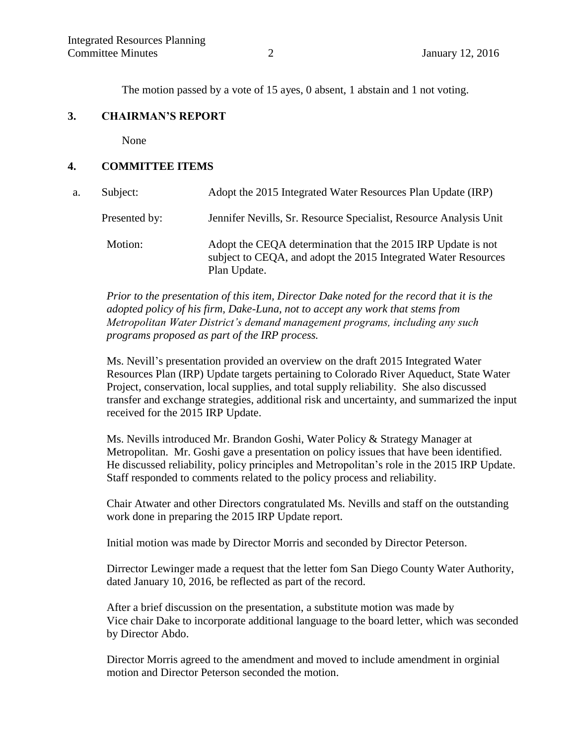The motion passed by a vote of 15 ayes, 0 absent, 1 abstain and 1 not voting.

#### **3. CHAIRMAN'S REPORT**

None

#### **4. COMMITTEE ITEMS**

| a. | Subject:      | Adopt the 2015 Integrated Water Resources Plan Update (IRP)                                                                                    |
|----|---------------|------------------------------------------------------------------------------------------------------------------------------------------------|
|    | Presented by: | Jennifer Nevills, Sr. Resource Specialist, Resource Analysis Unit                                                                              |
|    | Motion:       | Adopt the CEQA determination that the 2015 IRP Update is not<br>subject to CEQA, and adopt the 2015 Integrated Water Resources<br>Plan Update. |

*Prior to the presentation of this item, Director Dake noted for the record that it is the adopted policy of his firm, Dake-Luna, not to accept any work that stems from Metropolitan Water District's demand management programs, including any such programs proposed as part of the IRP process.*

Ms. Nevill's presentation provided an overview on the draft 2015 Integrated Water Resources Plan (IRP) Update targets pertaining to Colorado River Aqueduct, State Water Project, conservation, local supplies, and total supply reliability. She also discussed transfer and exchange strategies, additional risk and uncertainty, and summarized the input received for the 2015 IRP Update.

Ms. Nevills introduced Mr. Brandon Goshi, Water Policy & Strategy Manager at Metropolitan. Mr. Goshi gave a presentation on policy issues that have been identified. He discussed reliability, policy principles and Metropolitan's role in the 2015 IRP Update. Staff responded to comments related to the policy process and reliability.

Chair Atwater and other Directors congratulated Ms. Nevills and staff on the outstanding work done in preparing the 2015 IRP Update report.

Initial motion was made by Director Morris and seconded by Director Peterson.

Dirrector Lewinger made a request that the letter fom San Diego County Water Authority, dated January 10, 2016, be reflected as part of the record.

After a brief discussion on the presentation, a substitute motion was made by Vice chair Dake to incorporate additional language to the board letter, which was seconded by Director Abdo.

Director Morris agreed to the amendment and moved to include amendment in orginial motion and Director Peterson seconded the motion.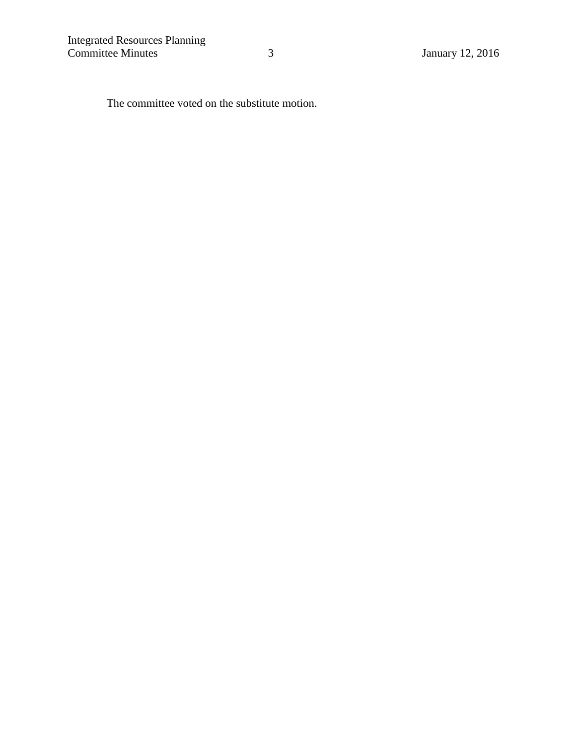The committee voted on the substitute motion.